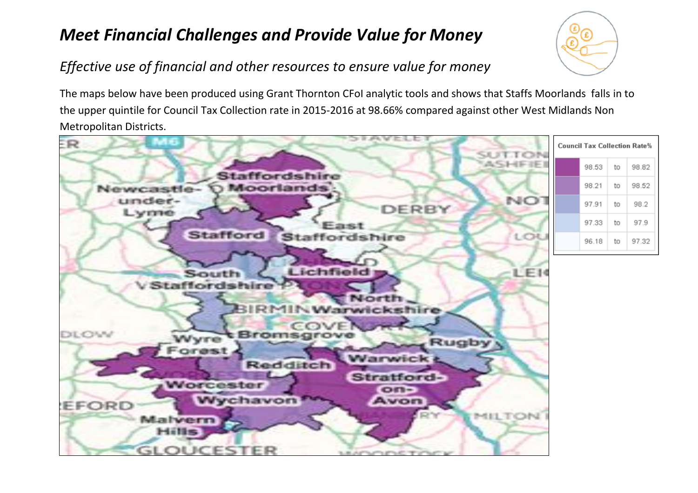## *Meet Financial Challenges and Provide Value for Money*



## *Effective use of financial and other resources to ensure value for money*

The maps below have been produced using Grant Thornton CFoI analytic tools and shows that Staffs Moorlands falls in to the upper quintile for Council Tax Collection rate in 2015-2016 at 98.66% compared against other West Midlands Non Metropolitan Districts.

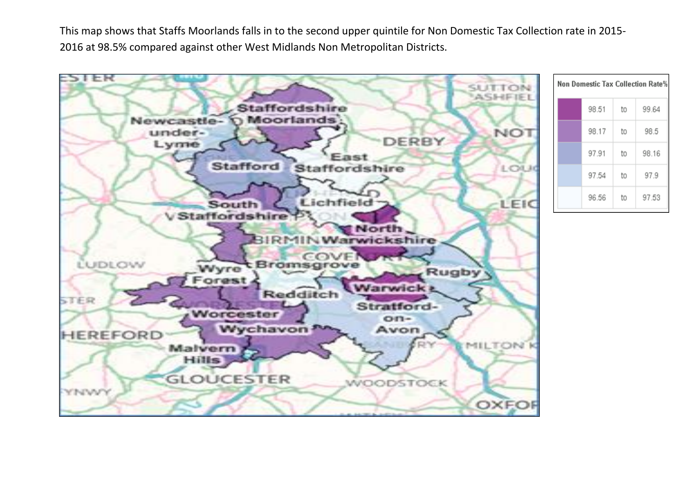This map shows that Staffs Moorlands falls in to the second upper quintile for Non Domestic Tax Collection rate in 2015- 2016 at 98.5% compared against other West Midlands Non Metropolitan Districts.

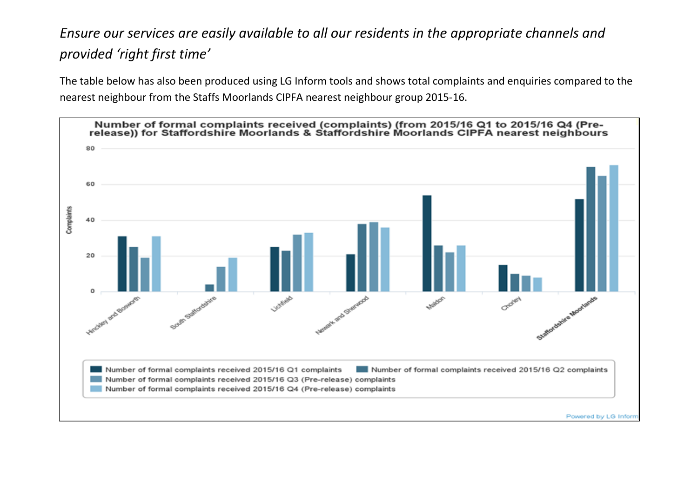## *Ensure our services are easily available to all our residents in the appropriate channels and provided 'right first time'*

The table below has also been produced using LG Inform tools and shows total complaints and enquiries compared to the nearest neighbour from the Staffs Moorlands CIPFA nearest neighbour group 2015-16.

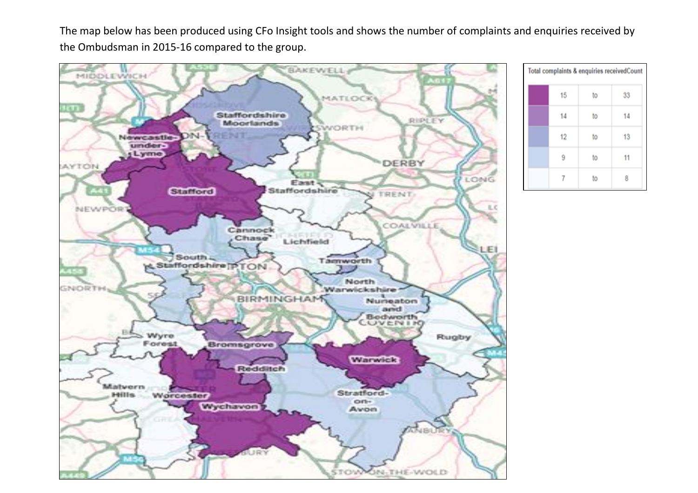The map below has been produced using CFo Insight tools and shows the number of complaints and enquiries received by the Ombudsman in 2015-16 compared to the group.



| Total complaints & enquiries receivedCount |    |    |    |
|--------------------------------------------|----|----|----|
|                                            | 15 | to | 33 |
|                                            | 14 | to | 14 |
|                                            | 12 | to | 13 |
|                                            | 9  | to | 11 |
|                                            |    | to | 8  |